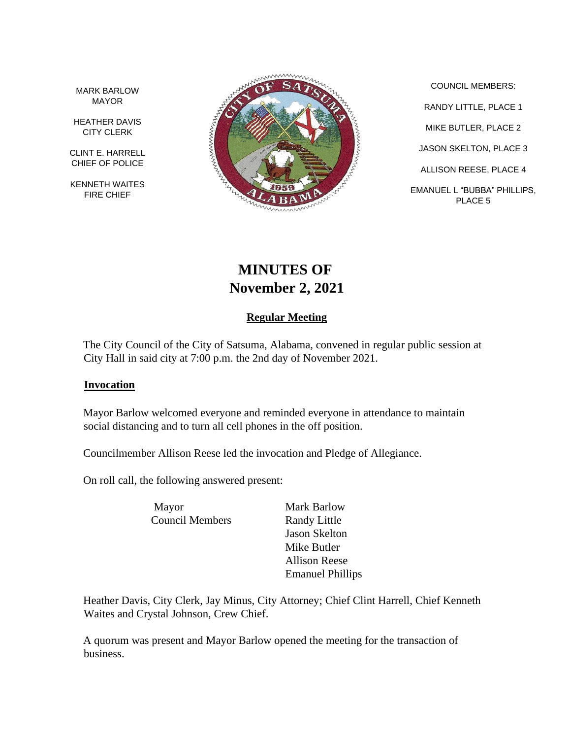MARK BARLOW MAYOR

HEATHER DAVIS CITY CLERK

CLINT E. HARRELL CHIEF OF POLICE

KENNETH WAITES FIRE CHIEF



COUNCIL MEMBERS: RANDY LITTLE, PLACE 1 MIKE BUTLER, PLACE 2 JASON SKELTON, PLACE 3 ALLISON REESE, PLACE 4 EMANUEL L "BUBBA" PHILLIPS, PLACE 5

# **MINUTES OF November 2, 2021**

# **Regular Meeting**

The City Council of the City of Satsuma, Alabama, convened in regular public session at City Hall in said city at 7:00 p.m. the 2nd day of November 2021.

#### **Invocation**

Mayor Barlow welcomed everyone and reminded everyone in attendance to maintain social distancing and to turn all cell phones in the off position.

Councilmember Allison Reese led the invocation and Pledge of Allegiance.

On roll call, the following answered present:

Mayor Mark Barlow Council Members Randy Little

Jason Skelton Mike Butler Allison Reese Emanuel Phillips

Heather Davis, City Clerk, Jay Minus, City Attorney; Chief Clint Harrell, Chief Kenneth Waites and Crystal Johnson, Crew Chief.

A quorum was present and Mayor Barlow opened the meeting for the transaction of business.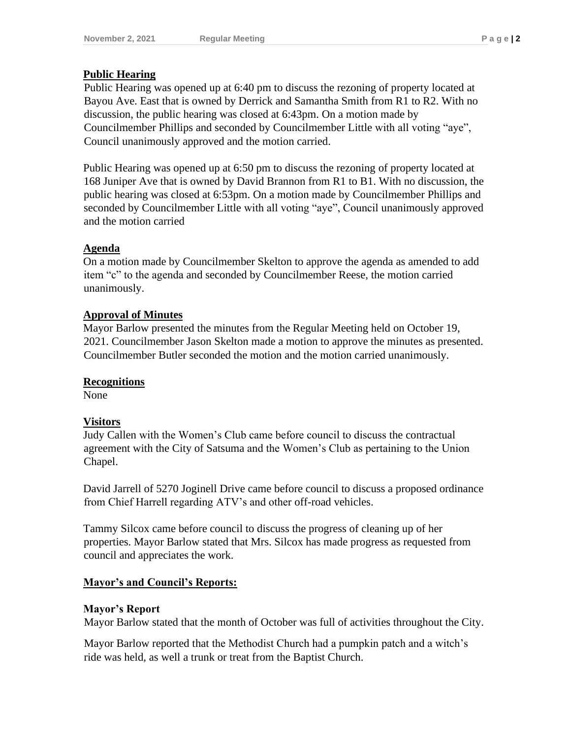# **Public Hearing**

Public Hearing was opened up at 6:40 pm to discuss the rezoning of property located at Bayou Ave. East that is owned by Derrick and Samantha Smith from R1 to R2. With no discussion, the public hearing was closed at 6:43pm. On a motion made by Councilmember Phillips and seconded by Councilmember Little with all voting "aye", Council unanimously approved and the motion carried.

Public Hearing was opened up at 6:50 pm to discuss the rezoning of property located at 168 Juniper Ave that is owned by David Brannon from R1 to B1. With no discussion, the public hearing was closed at 6:53pm. On a motion made by Councilmember Phillips and seconded by Councilmember Little with all voting "aye", Council unanimously approved and the motion carried

# **Agenda**

On a motion made by Councilmember Skelton to approve the agenda as amended to add item "c" to the agenda and seconded by Councilmember Reese, the motion carried unanimously.

# **Approval of Minutes**

Mayor Barlow presented the minutes from the Regular Meeting held on October 19, 2021. Councilmember Jason Skelton made a motion to approve the minutes as presented. Councilmember Butler seconded the motion and the motion carried unanimously.

# **Recognitions**

None

# **Visitors**

Judy Callen with the Women's Club came before council to discuss the contractual agreement with the City of Satsuma and the Women's Club as pertaining to the Union Chapel.

David Jarrell of 5270 Joginell Drive came before council to discuss a proposed ordinance from Chief Harrell regarding ATV's and other off-road vehicles.

Tammy Silcox came before council to discuss the progress of cleaning up of her properties. Mayor Barlow stated that Mrs. Silcox has made progress as requested from council and appreciates the work.

# **Mayor's and Council's Reports:**

# **Mayor's Report**

Mayor Barlow stated that the month of October was full of activities throughout the City.

Mayor Barlow reported that the Methodist Church had a pumpkin patch and a witch's ride was held, as well a trunk or treat from the Baptist Church.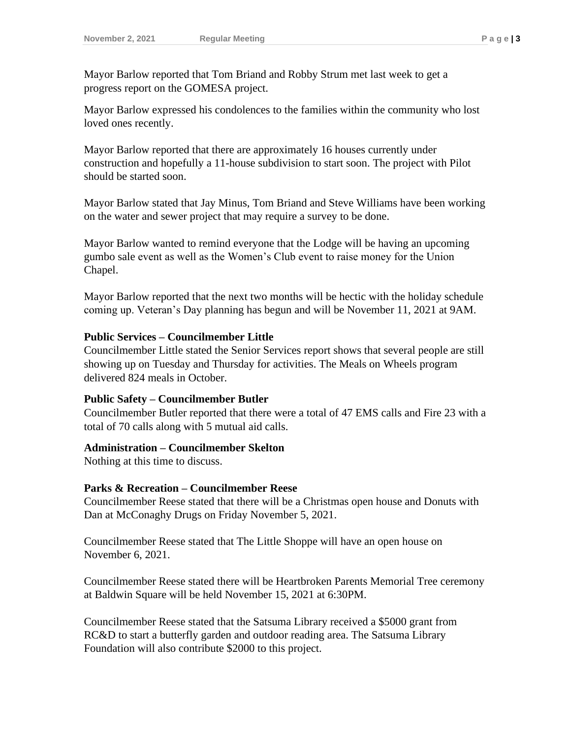Mayor Barlow reported that Tom Briand and Robby Strum met last week to get a progress report on the GOMESA project.

Mayor Barlow expressed his condolences to the families within the community who lost loved ones recently.

Mayor Barlow reported that there are approximately 16 houses currently under construction and hopefully a 11-house subdivision to start soon. The project with Pilot should be started soon.

Mayor Barlow stated that Jay Minus, Tom Briand and Steve Williams have been working on the water and sewer project that may require a survey to be done.

Mayor Barlow wanted to remind everyone that the Lodge will be having an upcoming gumbo sale event as well as the Women's Club event to raise money for the Union Chapel.

Mayor Barlow reported that the next two months will be hectic with the holiday schedule coming up. Veteran's Day planning has begun and will be November 11, 2021 at 9AM.

#### **Public Services – Councilmember Little**

Councilmember Little stated the Senior Services report shows that several people are still showing up on Tuesday and Thursday for activities. The Meals on Wheels program delivered 824 meals in October.

#### **Public Safety – Councilmember Butler**

Councilmember Butler reported that there were a total of 47 EMS calls and Fire 23 with a total of 70 calls along with 5 mutual aid calls.

#### **Administration – Councilmember Skelton**

Nothing at this time to discuss.

# **Parks & Recreation – Councilmember Reese**

Councilmember Reese stated that there will be a Christmas open house and Donuts with Dan at McConaghy Drugs on Friday November 5, 2021.

Councilmember Reese stated that The Little Shoppe will have an open house on November 6, 2021.

Councilmember Reese stated there will be Heartbroken Parents Memorial Tree ceremony at Baldwin Square will be held November 15, 2021 at 6:30PM.

Councilmember Reese stated that the Satsuma Library received a \$5000 grant from RC&D to start a butterfly garden and outdoor reading area. The Satsuma Library Foundation will also contribute \$2000 to this project.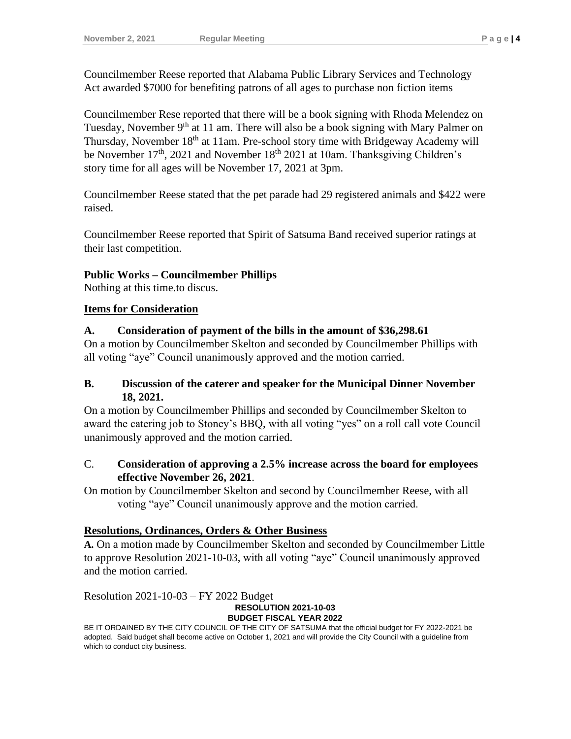Councilmember Reese reported that Alabama Public Library Services and Technology Act awarded \$7000 for benefiting patrons of all ages to purchase non fiction items

Councilmember Rese reported that there will be a book signing with Rhoda Melendez on Tuesday, November  $9<sup>th</sup>$  at 11 am. There will also be a book signing with Mary Palmer on Thursday, November 18th at 11am. Pre-school story time with Bridgeway Academy will be November  $17<sup>th</sup>$ , 2021 and November  $18<sup>th</sup>$  2021 at 10am. Thanksgiving Children's story time for all ages will be November 17, 2021 at 3pm.

Councilmember Reese stated that the pet parade had 29 registered animals and \$422 were raised.

Councilmember Reese reported that Spirit of Satsuma Band received superior ratings at their last competition.

# **Public Works – Councilmember Phillips**

Nothing at this time.to discus.

#### **Items for Consideration**

#### **A. Consideration of payment of the bills in the amount of \$36,298.61**

On a motion by Councilmember Skelton and seconded by Councilmember Phillips with all voting "aye" Council unanimously approved and the motion carried.

#### **B. Discussion of the caterer and speaker for the Municipal Dinner November 18, 2021.**

On a motion by Councilmember Phillips and seconded by Councilmember Skelton to award the catering job to Stoney's BBQ, with all voting "yes" on a roll call vote Council unanimously approved and the motion carried.

#### C. **Consideration of approving a 2.5% increase across the board for employees effective November 26, 2021**.

On motion by Councilmember Skelton and second by Councilmember Reese, with all voting "aye" Council unanimously approve and the motion carried.

# **Resolutions, Ordinances, Orders & Other Business**

**A.** On a motion made by Councilmember Skelton and seconded by Councilmember Little to approve Resolution 2021-10-03, with all voting "aye" Council unanimously approved and the motion carried.

Resolution 2021-10-03 – FY 2022 Budget

# **RESOLUTION 2021-10-03**

**BUDGET FISCAL YEAR 2022**

BE IT ORDAINED BY THE CITY COUNCIL OF THE CITY OF SATSUMA that the official budget for FY 2022-2021 be adopted. Said budget shall become active on October 1, 2021 and will provide the City Council with a guideline from which to conduct city business.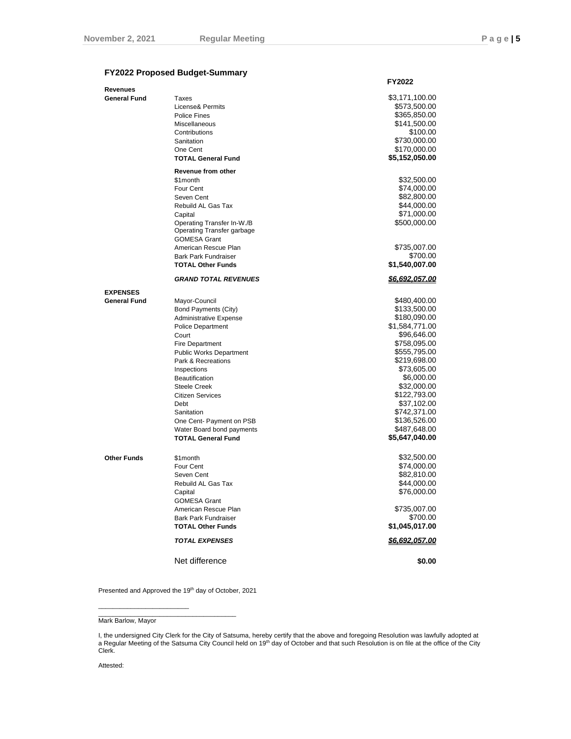**FY2022**

#### **FY2022 Proposed Budget-Summary**

| Revenues            |                                | 1476Z          |
|---------------------|--------------------------------|----------------|
|                     |                                | \$3,171,100.00 |
| <b>General Fund</b> | Taxes                          |                |
|                     | License& Permits               | \$573,500.00   |
|                     | Police Fines                   | \$365,850.00   |
|                     | Miscellaneous                  | \$141,500.00   |
|                     | Contributions                  | \$100.00       |
|                     | Sanitation                     | \$730,000.00   |
|                     | One Cent                       | \$170,000.00   |
|                     | <b>TOTAL General Fund</b>      | \$5,152,050.00 |
|                     |                                |                |
|                     | Revenue from other             |                |
|                     | \$1month                       | \$32,500.00    |
|                     | Four Cent                      | \$74,000.00    |
|                     | Seven Cent                     | \$82,800.00    |
|                     | Rebuild AL Gas Tax             | \$44,000.00    |
|                     | Capital                        | \$71,000.00    |
|                     | Operating Transfer In-W./B     | \$500,000.00   |
|                     | Operating Transfer garbage     |                |
|                     |                                |                |
|                     | <b>GOMESA Grant</b>            |                |
|                     | American Rescue Plan           | \$735,007.00   |
|                     | <b>Bark Park Fundraiser</b>    | \$700.00       |
|                     | <b>TOTAL Other Funds</b>       | \$1,540,007.00 |
|                     | <b>GRAND TOTAL REVENUES</b>    | \$6,692,057.00 |
| <b>EXPENSES</b>     |                                |                |
| <b>General Fund</b> | Mayor-Council                  | \$480,400.00   |
|                     | Bond Payments (City)           | \$133,500.00   |
|                     | <b>Administrative Expense</b>  | \$180,090.00   |
|                     | Police Department              | \$1,584,771.00 |
|                     |                                |                |
|                     | Court                          | \$96,646.00    |
|                     | <b>Fire Department</b>         | \$758,095.00   |
|                     | <b>Public Works Department</b> | \$555,795.00   |
|                     | Park & Recreations             | \$219,698.00   |
|                     | Inspections                    | \$73,605.00    |
|                     | <b>Beautification</b>          | \$6,000.00     |
|                     | <b>Steele Creek</b>            | \$32,000.00    |
|                     | <b>Citizen Services</b>        | \$122,793.00   |
|                     | Debt                           | \$37,102.00    |
|                     | Sanitation                     | \$742,371.00   |
|                     |                                |                |
|                     | One Cent- Payment on PSB       | \$136,526.00   |
|                     | Water Board bond payments      | \$487,648.00   |
|                     | <b>TOTAL General Fund</b>      | \$5,647,040.00 |
| <b>Other Funds</b>  | \$1month                       | \$32,500.00    |
|                     | Four Cent                      | \$74,000.00    |
|                     |                                |                |
|                     | Seven Cent                     | \$82,810.00    |
|                     | Rebuild AL Gas Tax             | \$44,000.00    |
|                     | Capital                        | \$76,000.00    |
|                     | <b>GOMESA Grant</b>            |                |
|                     | American Rescue Plan           | \$735,007.00   |
|                     | <b>Bark Park Fundraiser</b>    | \$700.00       |
|                     | <b>TOTAL Other Funds</b>       | \$1,045,017.00 |
|                     | <b>TOTAL EXPENSES</b>          | \$6,692,057.00 |
|                     |                                |                |
|                     | Net difference                 | \$0.00         |
|                     |                                |                |

Presented and Approved the 19th day of October, 2021

 $\overline{\phantom{a}}$  , and the set of the set of the set of the set of the set of the set of the set of the set of the set of the set of the set of the set of the set of the set of the set of the set of the set of the set of the s

 $\frac{1}{2}$  ,  $\frac{1}{2}$  ,  $\frac{1}{2}$  ,  $\frac{1}{2}$  ,  $\frac{1}{2}$  ,  $\frac{1}{2}$  ,  $\frac{1}{2}$  ,  $\frac{1}{2}$  ,  $\frac{1}{2}$  ,  $\frac{1}{2}$  ,  $\frac{1}{2}$  ,  $\frac{1}{2}$  ,  $\frac{1}{2}$  ,  $\frac{1}{2}$  ,  $\frac{1}{2}$  ,  $\frac{1}{2}$  ,  $\frac{1}{2}$  ,  $\frac{1}{2}$  ,  $\frac{1$ 

Attested:

Mark Barlow, Mayor

I, the undersigned City Clerk for the City of Satsuma, hereby certify that the above and foregoing Resolution was lawfully adopted at<br>a Regular Meeting of the Satsuma City Council held on 19<sup>th</sup> day of October and that suc Clerk.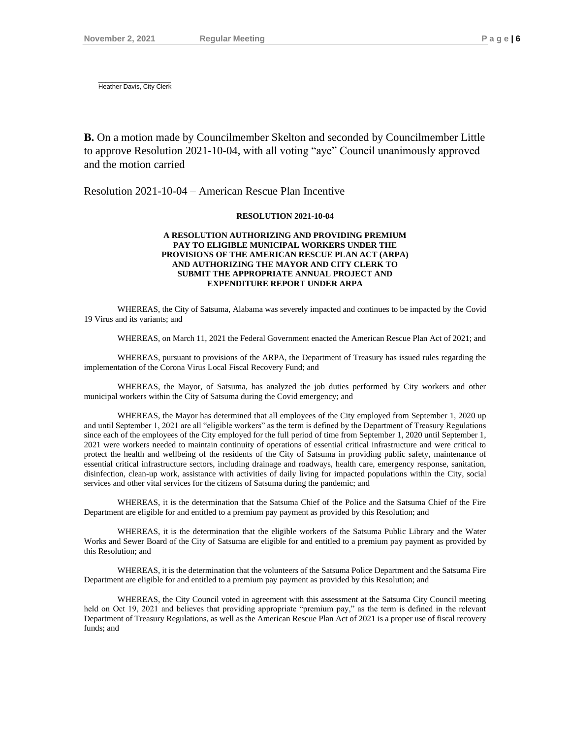$\overline{\phantom{a}}$  ,  $\overline{\phantom{a}}$  ,  $\overline{\phantom{a}}$  ,  $\overline{\phantom{a}}$  ,  $\overline{\phantom{a}}$  ,  $\overline{\phantom{a}}$  ,  $\overline{\phantom{a}}$  ,  $\overline{\phantom{a}}$  ,  $\overline{\phantom{a}}$  ,  $\overline{\phantom{a}}$  ,  $\overline{\phantom{a}}$  ,  $\overline{\phantom{a}}$  ,  $\overline{\phantom{a}}$  ,  $\overline{\phantom{a}}$  ,  $\overline{\phantom{a}}$  ,  $\overline{\phantom{a}}$ Heather Davis, City Clerk

**B.** On a motion made by Councilmember Skelton and seconded by Councilmember Little to approve Resolution 2021-10-04, with all voting "aye" Council unanimously approved and the motion carried

Resolution 2021-10-04 – American Rescue Plan Incentive

#### **RESOLUTION 2021-10-04**

#### **A RESOLUTION AUTHORIZING AND PROVIDING PREMIUM PAY TO ELIGIBLE MUNICIPAL WORKERS UNDER THE PROVISIONS OF THE AMERICAN RESCUE PLAN ACT (ARPA) AND AUTHORIZING THE MAYOR AND CITY CLERK TO SUBMIT THE APPROPRIATE ANNUAL PROJECT AND EXPENDITURE REPORT UNDER ARPA**

WHEREAS, the City of Satsuma, Alabama was severely impacted and continues to be impacted by the Covid 19 Virus and its variants; and

WHEREAS, on March 11, 2021 the Federal Government enacted the American Rescue Plan Act of 2021; and

WHEREAS, pursuant to provisions of the ARPA, the Department of Treasury has issued rules regarding the implementation of the Corona Virus Local Fiscal Recovery Fund; and

WHEREAS, the Mayor, of Satsuma, has analyzed the job duties performed by City workers and other municipal workers within the City of Satsuma during the Covid emergency; and

WHEREAS, the Mayor has determined that all employees of the City employed from September 1, 2020 up and until September 1, 2021 are all "eligible workers" as the term is defined by the Department of Treasury Regulations since each of the employees of the City employed for the full period of time from September 1, 2020 until September 1, 2021 were workers needed to maintain continuity of operations of essential critical infrastructure and were critical to protect the health and wellbeing of the residents of the City of Satsuma in providing public safety, maintenance of essential critical infrastructure sectors, including drainage and roadways, health care, emergency response, sanitation, disinfection, clean-up work, assistance with activities of daily living for impacted populations within the City, social services and other vital services for the citizens of Satsuma during the pandemic; and

WHEREAS, it is the determination that the Satsuma Chief of the Police and the Satsuma Chief of the Fire Department are eligible for and entitled to a premium pay payment as provided by this Resolution; and

WHEREAS, it is the determination that the eligible workers of the Satsuma Public Library and the Water Works and Sewer Board of the City of Satsuma are eligible for and entitled to a premium pay payment as provided by this Resolution; and

WHEREAS, it is the determination that the volunteers of the Satsuma Police Department and the Satsuma Fire Department are eligible for and entitled to a premium pay payment as provided by this Resolution; and

WHEREAS, the City Council voted in agreement with this assessment at the Satsuma City Council meeting held on Oct 19, 2021 and believes that providing appropriate "premium pay," as the term is defined in the relevant Department of Treasury Regulations, as well as the American Rescue Plan Act of 2021 is a proper use of fiscal recovery funds; and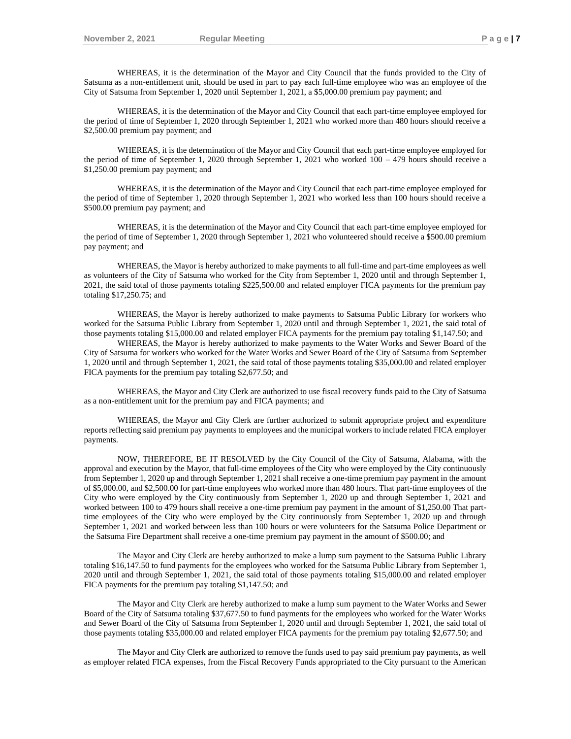WHEREAS, it is the determination of the Mayor and City Council that the funds provided to the City of Satsuma as a non-entitlement unit, should be used in part to pay each full-time employee who was an employee of the City of Satsuma from September 1, 2020 until September 1, 2021, a \$5,000.00 premium pay payment; and

WHEREAS, it is the determination of the Mayor and City Council that each part-time employee employed for the period of time of September 1, 2020 through September 1, 2021 who worked more than 480 hours should receive a \$2,500.00 premium pay payment; and

WHEREAS, it is the determination of the Mayor and City Council that each part-time employee employed for the period of time of September 1, 2020 through September 1, 2021 who worked 100 – 479 hours should receive a \$1,250.00 premium pay payment; and

WHEREAS, it is the determination of the Mayor and City Council that each part-time employee employed for the period of time of September 1, 2020 through September 1, 2021 who worked less than 100 hours should receive a \$500.00 premium pay payment; and

WHEREAS, it is the determination of the Mayor and City Council that each part-time employee employed for the period of time of September 1, 2020 through September 1, 2021 who volunteered should receive a \$500.00 premium pay payment; and

WHEREAS, the Mayor is hereby authorized to make payments to all full-time and part-time employees as well as volunteers of the City of Satsuma who worked for the City from September 1, 2020 until and through September 1, 2021, the said total of those payments totaling \$225,500.00 and related employer FICA payments for the premium pay totaling \$17,250.75; and

WHEREAS, the Mayor is hereby authorized to make payments to Satsuma Public Library for workers who worked for the Satsuma Public Library from September 1, 2020 until and through September 1, 2021, the said total of those payments totaling \$15,000.00 and related employer FICA payments for the premium pay totaling \$1,147.50; and

WHEREAS, the Mayor is hereby authorized to make payments to the Water Works and Sewer Board of the City of Satsuma for workers who worked for the Water Works and Sewer Board of the City of Satsuma from September 1, 2020 until and through September 1, 2021, the said total of those payments totaling \$35,000.00 and related employer FICA payments for the premium pay totaling \$2,677.50; and

WHEREAS, the Mayor and City Clerk are authorized to use fiscal recovery funds paid to the City of Satsuma as a non-entitlement unit for the premium pay and FICA payments; and

WHEREAS, the Mayor and City Clerk are further authorized to submit appropriate project and expenditure reports reflecting said premium pay payments to employees and the municipal workers to include related FICA employer payments.

NOW, THEREFORE, BE IT RESOLVED by the City Council of the City of Satsuma, Alabama, with the approval and execution by the Mayor, that full-time employees of the City who were employed by the City continuously from September 1, 2020 up and through September 1, 2021 shall receive a one-time premium pay payment in the amount of \$5,000.00, and \$2,500.00 for part-time employees who worked more than 480 hours. That part-time employees of the City who were employed by the City continuously from September 1, 2020 up and through September 1, 2021 and worked between 100 to 479 hours shall receive a one-time premium pay payment in the amount of \$1,250.00 That parttime employees of the City who were employed by the City continuously from September 1, 2020 up and through September 1, 2021 and worked between less than 100 hours or were volunteers for the Satsuma Police Department or the Satsuma Fire Department shall receive a one-time premium pay payment in the amount of \$500.00; and

The Mayor and City Clerk are hereby authorized to make a lump sum payment to the Satsuma Public Library totaling \$16,147.50 to fund payments for the employees who worked for the Satsuma Public Library from September 1, 2020 until and through September 1, 2021, the said total of those payments totaling \$15,000.00 and related employer FICA payments for the premium pay totaling \$1,147.50; and

The Mayor and City Clerk are hereby authorized to make a lump sum payment to the Water Works and Sewer Board of the City of Satsuma totaling \$37,677.50 to fund payments for the employees who worked for the Water Works and Sewer Board of the City of Satsuma from September 1, 2020 until and through September 1, 2021, the said total of those payments totaling \$35,000.00 and related employer FICA payments for the premium pay totaling \$2,677.50; and

The Mayor and City Clerk are authorized to remove the funds used to pay said premium pay payments, as well as employer related FICA expenses, from the Fiscal Recovery Funds appropriated to the City pursuant to the American